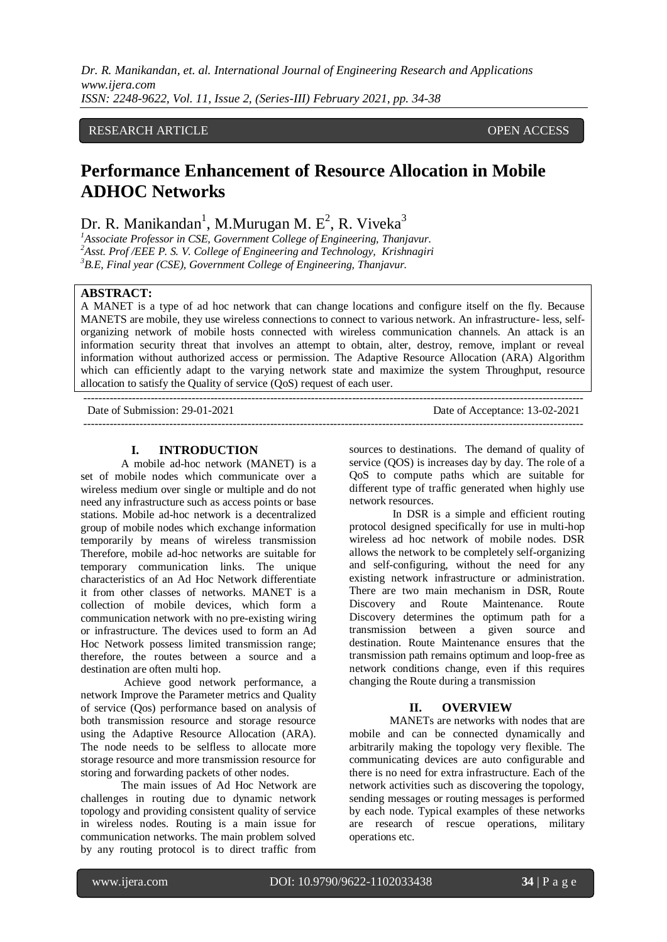*Dr. R. Manikandan, et. al. International Journal of Engineering Research and Applications www.ijera.com ISSN: 2248-9622, Vol. 11, Issue 2, (Series-III) February 2021, pp. 34-38*

## RESEARCH ARTICLE **CONTRACT OPEN ACCESS**

# **Performance Enhancement of Resource Allocation in Mobile ADHOC Networks**

Dr. R. Manikandan<sup>1</sup>, M.Murugan M. E<sup>2</sup>, R. Viveka<sup>3</sup>

*<sup>1</sup>Associate Professor in CSE, Government College of Engineering, Thanjavur. <sup>2</sup>Asst. Prof /EEE P. S. V. College of Engineering and Technology, Krishnagiri <sup>3</sup>B.E, Final year (CSE), Government College of Engineering, Thanjavur.*

## **ABSTRACT:**

A MANET is a type of ad hoc network that can change locations and configure itself on the fly. Because MANETS are mobile, they use wireless connections to connect to various network. An infrastructure- less, selforganizing network of mobile hosts connected with wireless communication channels. An attack is an information security threat that involves an attempt to obtain, alter, destroy, remove, implant or reveal information without authorized access or permission. The Adaptive Resource Allocation (ARA) Algorithm which can efficiently adapt to the varying network state and maximize the system Throughput, resource allocation to satisfy the Quality of service (QoS) request of each user.

-------------------------------------------------------------------------------------------------------------------------------------- Date of Submission: 29-01-2021 Date of Acceptance: 13-02-2021 --------------------------------------------------------------------------------------------------------------------------------------

## **I. INTRODUCTION**

A mobile ad-hoc network (MANET) is a set of mobile nodes which communicate over a wireless medium over single or multiple and do not need any infrastructure such as access points or base stations. Mobile ad-hoc network is a decentralized group of mobile nodes which exchange information temporarily by means of wireless transmission Therefore, mobile ad-hoc networks are suitable for temporary communication links. The unique characteristics of an Ad Hoc Network differentiate it from other classes of networks. MANET is a collection of mobile devices, which form a communication network with no pre-existing wiring or infrastructure. The devices used to form an Ad Hoc Network possess limited transmission range; therefore, the routes between a source and a destination are often multi hop.

Achieve good network performance, a network Improve the Parameter metrics and Quality of service (Qos) performance based on analysis of both transmission resource and storage resource using the Adaptive Resource Allocation (ARA). The node needs to be selfless to allocate more storage resource and more transmission resource for storing and forwarding packets of other nodes.

The main issues of Ad Hoc Network are challenges in routing due to dynamic network topology and providing consistent quality of service in wireless nodes. Routing is a main issue for communication networks. The main problem solved by any routing protocol is to direct traffic from

sources to destinations. The demand of quality of service (QOS) is increases day by day. The role of a QoS to compute paths which are suitable for different type of traffic generated when highly use network resources.

In DSR is a simple and efficient routing protocol designed specifically for use in multi-hop wireless ad hoc network of mobile nodes. DSR allows the network to be completely self-organizing and self-configuring, without the need for any existing network infrastructure or administration. There are two main mechanism in DSR, Route Discovery and Route Maintenance. Route Discovery determines the optimum path for a transmission between a given source and destination. Route Maintenance ensures that the transmission path remains optimum and loop-free as network conditions change, even if this requires changing the Route during a transmission

## **II. OVERVIEW**

MANETs are networks with nodes that are mobile and can be connected dynamically and arbitrarily making the topology very flexible. The communicating devices are auto configurable and there is no need for extra infrastructure. Each of the network activities such as discovering the topology, sending messages or routing messages is performed by each node. Typical examples of these networks are research of rescue operations, military operations etc.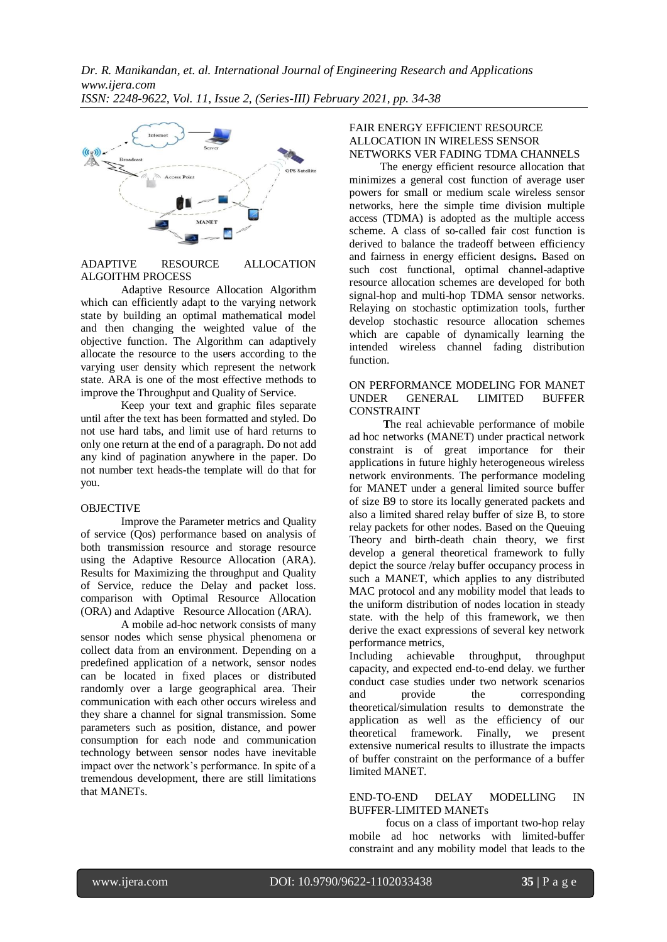

## ADAPTIVE RESOURCE ALLOCATION ALGOITHM PROCESS

Adaptive Resource Allocation Algorithm which can efficiently adapt to the varying network state by building an optimal mathematical model and then changing the weighted value of the objective function. The Algorithm can adaptively allocate the resource to the users according to the varying user density which represent the network state. ARA is one of the most effective methods to improve the Throughput and Quality of Service.

Keep your text and graphic files separate until after the text has been formatted and styled. Do not use hard tabs, and limit use of hard returns to only one return at the end of a paragraph. Do not add any kind of pagination anywhere in the paper. Do not number text heads-the template will do that for you.

## OBJECTIVE

Improve the Parameter metrics and Quality of service (Qos) performance based on analysis of both transmission resource and storage resource using the Adaptive Resource Allocation (ARA). Results for Maximizing the throughput and Quality of Service, reduce the Delay and packet loss. comparison with Optimal Resource Allocation (ORA) and Adaptive Resource Allocation (ARA).

A mobile ad-hoc network consists of many sensor nodes which sense physical phenomena or collect data from an environment. Depending on a predefined application of a network, sensor nodes can be located in fixed places or distributed randomly over a large geographical area. Their communication with each other occurs wireless and they share a channel for signal transmission. Some parameters such as position, distance, and power consumption for each node and communication technology between sensor nodes have inevitable impact over the network's performance. In spite of a tremendous development, there are still limitations that MANETs.

#### FAIR ENERGY EFFICIENT RESOURCE ALLOCATION IN WIRELESS SENSOR NETWORKS VER FADING TDMA CHANNELS

The energy efficient resource allocation that minimizes a general cost function of average user powers for small or medium scale wireless sensor networks, here the simple time division multiple access (TDMA) is adopted as the multiple access scheme. A class of so-called fair cost function is derived to balance the tradeoff between efficiency and fairness in energy efficient designs**.** Based on such cost functional, optimal channel-adaptive resource allocation schemes are developed for both signal-hop and multi-hop TDMA sensor networks. Relaying on stochastic optimization tools, further develop stochastic resource allocation schemes which are capable of dynamically learning the intended wireless channel fading distribution function.

#### ON PERFORMANCE MODELING FOR MANET UNDER GENERAL LIMITED BUFFER CONSTRAINT

 **T**he real achievable performance of mobile ad hoc networks (MANET) under practical network constraint is of great importance for their applications in future highly heterogeneous wireless network environments. The performance modeling for MANET under a general limited source buffer of size B9 to store its locally generated packets and also a limited shared relay buffer of size B, to store relay packets for other nodes. Based on the Queuing Theory and birth-death chain theory, we first develop a general theoretical framework to fully depict the source /relay buffer occupancy process in such a MANET, which applies to any distributed MAC protocol and any mobility model that leads to the uniform distribution of nodes location in steady state. with the help of this framework, we then derive the exact expressions of several key network performance metrics,

Including achievable throughput, throughput capacity, and expected end-to-end delay. we further conduct case studies under two network scenarios and provide the corresponding theoretical/simulation results to demonstrate the application as well as the efficiency of our theoretical framework. Finally, we present extensive numerical results to illustrate the impacts of buffer constraint on the performance of a buffer limited MANET.

## END-TO-END DELAY MODELLING IN BUFFER-LIMITED MANETs

focus on a class of important two-hop relay mobile ad hoc networks with limited-buffer constraint and any mobility model that leads to the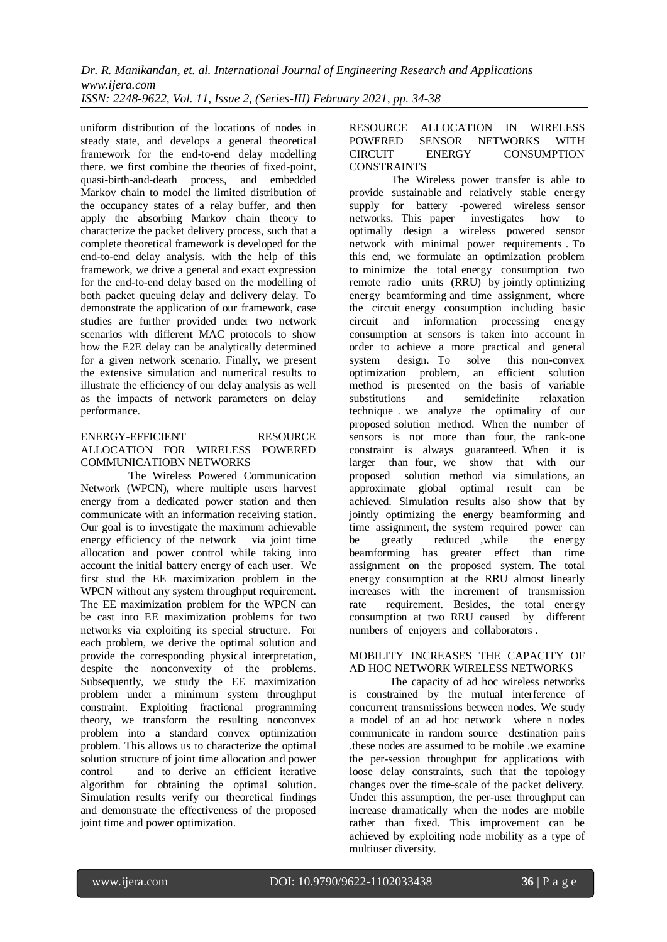*Dr. R. Manikandan, et. al. International Journal of Engineering Research and Applications www.ijera.com ISSN: 2248-9622, Vol. 11, Issue 2, (Series-III) February 2021, pp. 34-38*

uniform distribution of the locations of nodes in steady state, and develops a general theoretical framework for the end-to-end delay modelling there. we first combine the theories of fixed-point, quasi-birth-and-death process, and embedded Markov chain to model the limited distribution of the occupancy states of a relay buffer, and then apply the absorbing Markov chain theory to characterize the packet delivery process, such that a complete theoretical framework is developed for the end-to-end delay analysis. with the help of this framework, we drive a general and exact expression for the end-to-end delay based on the modelling of both packet queuing delay and delivery delay. To demonstrate the application of our framework, case studies are further provided under two network scenarios with different MAC protocols to show how the E2E delay can be analytically determined for a given network scenario. Finally, we present the extensive simulation and numerical results to illustrate the efficiency of our delay analysis as well as the impacts of network parameters on delay performance.

#### ENERGY-EFFICIENT RESOURCE ALLOCATION FOR WIRELESS POWERED COMMUNICATIOBN NETWORKS

 The Wireless Powered Communication Network (WPCN), where multiple users harvest energy from a dedicated power station and then communicate with an information receiving station. Our goal is to investigate the maximum achievable energy efficiency of the network via joint time allocation and power control while taking into account the initial battery energy of each user. We first stud the EE maximization problem in the WPCN without any system throughput requirement. The EE maximization problem for the WPCN can be cast into EE maximization problems for two networks via exploiting its special structure. For each problem, we derive the optimal solution and provide the corresponding physical interpretation, despite the nonconvexity of the problems. Subsequently, we study the EE maximization problem under a minimum system throughput constraint. Exploiting fractional programming theory, we transform the resulting nonconvex problem into a standard convex optimization problem. This allows us to characterize the optimal solution structure of joint time allocation and power control and to derive an efficient iterative algorithm for obtaining the optimal solution. Simulation results verify our theoretical findings and demonstrate the effectiveness of the proposed joint time and power optimization.

## RESOURCE ALLOCATION IN WIRELESS POWERED SENSOR NETWORKS WITH CIRCUIT ENERGY CONSUMPTION **CONSTRAINTS**

The Wireless power transfer is able to provide sustainable and relatively stable energy supply for battery -powered wireless sensor networks. This paper investigates how to optimally design a wireless powered sensor network with minimal power requirements . To this end, we formulate an optimization problem to minimize the total energy consumption two remote radio units (RRU) by jointly optimizing energy beamforming and time assignment, where the circuit energy consumption including basic circuit and information processing energy consumption at sensors is taken into account in order to achieve a more practical and general system design. To solve this non-convex optimization problem, an efficient solution method is presented on the basis of variable substitutions and semidefinite relaxation technique . we analyze the optimality of our proposed solution method. When the number of sensors is not more than four, the rank-one constraint is always guaranteed. When it is larger than four, we show that with our proposed solution method via simulations, an approximate global optimal result can be achieved. Simulation results also show that by jointly optimizing the energy beamforming and time assignment, the system required power can be greatly reduced ,while the energy beamforming has greater effect than time assignment on the proposed system. The total energy consumption at the RRU almost linearly increases with the increment of transmission rate requirement. Besides, the total energy consumption at two RRU caused by different numbers of enjoyers and collaborators .

## MOBILITY INCREASES THE CAPACITY OF AD HOC NETWORK WIRELESS NETWORKS

The capacity of ad hoc wireless networks is constrained by the mutual interference of concurrent transmissions between nodes. We study a model of an ad hoc network where n nodes communicate in random source –destination pairs .these nodes are assumed to be mobile .we examine the per-session throughput for applications with loose delay constraints, such that the topology changes over the time-scale of the packet delivery. Under this assumption, the per-user throughput can increase dramatically when the nodes are mobile rather than fixed. This improvement can be achieved by exploiting node mobility as a type of multiuser diversity.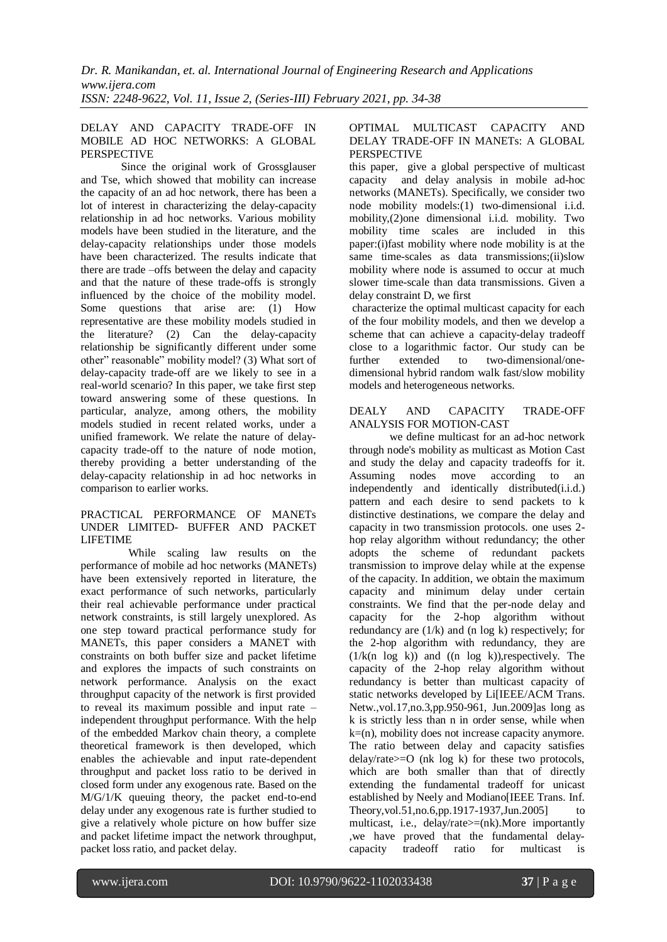## DELAY AND CAPACITY TRADE-OFF IN MOBILE AD HOC NETWORKS: A GLOBAL **PERSPECTIVE**

Since the original work of Grossglauser and Tse, which showed that mobility can increase the capacity of an ad hoc network, there has been a lot of interest in characterizing the delay-capacity relationship in ad hoc networks. Various mobility models have been studied in the literature, and the delay-capacity relationships under those models have been characterized. The results indicate that there are trade –offs between the delay and capacity and that the nature of these trade-offs is strongly influenced by the choice of the mobility model. Some questions that arise are: (1) How representative are these mobility models studied in the literature? (2) Can the delay-capacity relationship be significantly different under some other" reasonable" mobility model? (3) What sort of delay-capacity trade-off are we likely to see in a real-world scenario? In this paper, we take first step toward answering some of these questions. In particular, analyze, among others, the mobility models studied in recent related works, under a unified framework. We relate the nature of delaycapacity trade-off to the nature of node motion, thereby providing a better understanding of the delay-capacity relationship in ad hoc networks in comparison to earlier works.

#### PRACTICAL PERFORMANCE OF MANETs UNDER LIMITED- BUFFER AND PACKET LIFETIME

 While scaling law results on the performance of mobile ad hoc networks (MANETs) have been extensively reported in literature, the exact performance of such networks, particularly their real achievable performance under practical network constraints, is still largely unexplored. As one step toward practical performance study for MANETs, this paper considers a MANET with constraints on both buffer size and packet lifetime and explores the impacts of such constraints on network performance. Analysis on the exact throughput capacity of the network is first provided to reveal its maximum possible and input rate – independent throughput performance. With the help of the embedded Markov chain theory, a complete theoretical framework is then developed, which enables the achievable and input rate-dependent throughput and packet loss ratio to be derived in closed form under any exogenous rate. Based on the M/G/1/K queuing theory, the packet end-to-end delay under any exogenous rate is further studied to give a relatively whole picture on how buffer size and packet lifetime impact the network throughput, packet loss ratio, and packet delay.

## OPTIMAL MULTICAST CAPACITY AND DELAY TRADE-OFF IN MANETs: A GLOBAL PERSPECTIVE

this paper, give a global perspective of multicast capacity and delay analysis in mobile ad-hoc networks (MANETs). Specifically, we consider two node mobility models:(1) two-dimensional i.i.d. mobility,(2)one dimensional i.i.d. mobility. Two mobility time scales are included in this paper:(i)fast mobility where node mobility is at the same time-scales as data transmissions;(ii)slow mobility where node is assumed to occur at much slower time-scale than data transmissions. Given a delay constraint D, we first

characterize the optimal multicast capacity for each of the four mobility models, and then we develop a scheme that can achieve a capacity-delay tradeoff close to a logarithmic factor. Our study can be further extended to two-dimensional/onedimensional hybrid random walk fast/slow mobility models and heterogeneous networks.

## DEALY AND CAPACITY TRADE-OFF ANALYSIS FOR MOTION-CAST

we define multicast for an ad-hoc network through node's mobility as multicast as Motion Cast and study the delay and capacity tradeoffs for it. Assuming nodes move according to an independently and identically distributed(i.i.d.) pattern and each desire to send packets to k distinctive destinations, we compare the delay and capacity in two transmission protocols. one uses 2 hop relay algorithm without redundancy; the other adopts the scheme of redundant packets transmission to improve delay while at the expense of the capacity. In addition, we obtain the maximum capacity and minimum delay under certain constraints. We find that the per-node delay and capacity for the 2-hop algorithm without redundancy are (1/k) and (n log k) respectively; for the 2-hop algorithm with redundancy, they are  $(1/k(n \log k))$  and  $((n \log k))$ , respectively. The capacity of the 2-hop relay algorithm without redundancy is better than multicast capacity of static networks developed by Li[IEEE/ACM Trans. Netw.,vol.17,no.3,pp.950-961, Jun.2009]as long as k is strictly less than n in order sense, while when  $k=(n)$ , mobility does not increase capacity anymore. The ratio between delay and capacity satisfies  $delay/rate \geq 0$  (nk log k) for these two protocols, which are both smaller than that of directly extending the fundamental tradeoff for unicast established by Neely and Modiano [IEEE Trans. Inf. Theory,vol.51,no.6,pp.1917-1937,Jun.2005] to multicast, i.e., delay/rate>=(nk).More importantly ,we have proved that the fundamental delaycapacity tradeoff ratio for multicast is